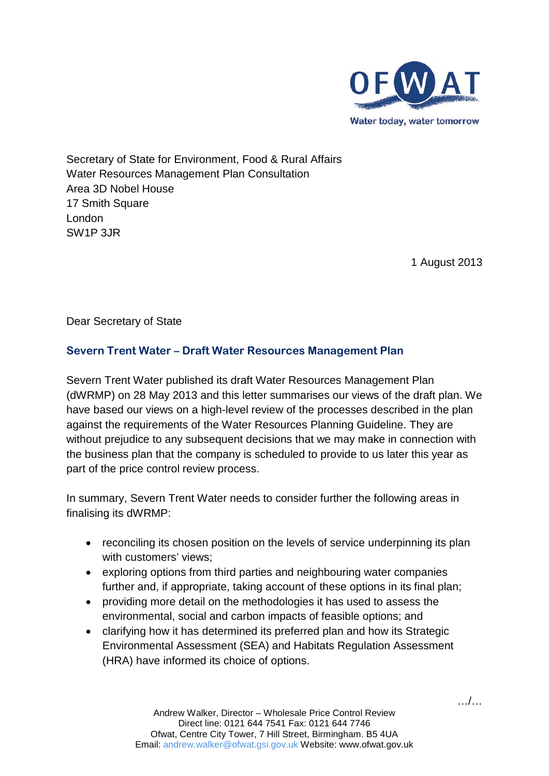

Secretary of State for Environment, Food & Rural Affairs Water Resources Management Plan Consultation Area 3D Nobel House 17 Smith Square London SW1P 3JR

1 August 2013

Dear Secretary of State

# **Severn Trent Water – Draft Water Resources Management Plan**

Severn Trent Water published its draft Water Resources Management Plan (dWRMP) on 28 May 2013 and this letter summarises our views of the draft plan. We have based our views on a high-level review of the processes described in the plan against the requirements of the Water Resources Planning Guideline. They are without prejudice to any subsequent decisions that we may make in connection with the business plan that the company is scheduled to provide to us later this year as part of the price control review process.

In summary, Severn Trent Water needs to consider further the following areas in finalising its dWRMP:

- reconciling its chosen position on the levels of service underpinning its plan with customers' views;
- exploring options from third parties and neighbouring water companies further and, if appropriate, taking account of these options in its final plan;
- providing more detail on the methodologies it has used to assess the environmental, social and carbon impacts of feasible options; and
- clarifying how it has determined its preferred plan and how its Strategic Environmental Assessment (SEA) and Habitats Regulation Assessment (HRA) have informed its choice of options.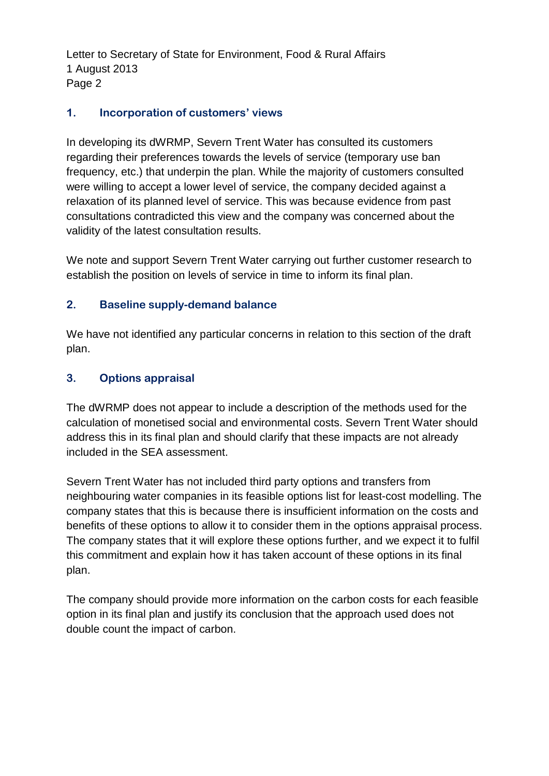Letter to Secretary of State for Environment, Food & Rural Affairs 1 August 2013 Page 2

### **1. Incorporation of customers' views**

In developing its dWRMP, Severn Trent Water has consulted its customers regarding their preferences towards the levels of service (temporary use ban frequency, etc.) that underpin the plan. While the majority of customers consulted were willing to accept a lower level of service, the company decided against a relaxation of its planned level of service. This was because evidence from past consultations contradicted this view and the company was concerned about the validity of the latest consultation results.

We note and support Severn Trent Water carrying out further customer research to establish the position on levels of service in time to inform its final plan.

### **2. Baseline supply-demand balance**

We have not identified any particular concerns in relation to this section of the draft plan.

#### **3. Options appraisal**

The dWRMP does not appear to include a description of the methods used for the calculation of monetised social and environmental costs. Severn Trent Water should address this in its final plan and should clarify that these impacts are not already included in the SEA assessment.

Severn Trent Water has not included third party options and transfers from neighbouring water companies in its feasible options list for least-cost modelling. The company states that this is because there is insufficient information on the costs and benefits of these options to allow it to consider them in the options appraisal process. The company states that it will explore these options further, and we expect it to fulfil this commitment and explain how it has taken account of these options in its final plan.

The company should provide more information on the carbon costs for each feasible option in its final plan and justify its conclusion that the approach used does not double count the impact of carbon.